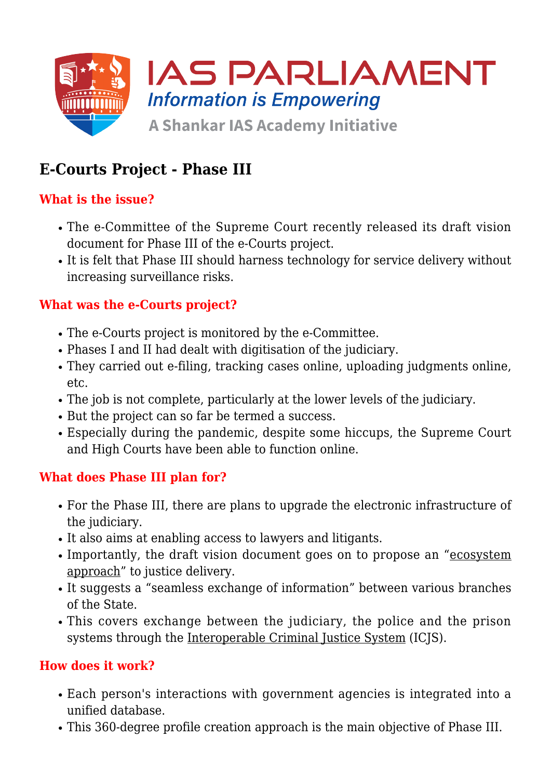

# **E-Courts Project - Phase III**

## **What is the issue?**

- The e-Committee of the Supreme Court recently released its draft vision document for Phase III of the e-Courts project.
- It is felt that Phase III should harness technology for service delivery without increasing surveillance risks.

## **What was the e-Courts project?**

- The e-Courts project is monitored by the e-Committee.
- Phases I and II had dealt with digitisation of the judiciary.
- They carried out e-filing, tracking cases online, uploading judgments online, etc.
- The job is not complete, particularly at the lower levels of the judiciary.
- But the project can so far be termed a success.
- Especially during the pandemic, despite some hiccups, the Supreme Court and High Courts have been able to function online.

#### **What does Phase III plan for?**

- For the Phase III, there are plans to upgrade the electronic infrastructure of the judiciary.
- It also aims at enabling access to lawyers and litigants.
- Importantly, the draft vision document goes on to propose an "ecosystem approach" to justice delivery.
- It suggests a "seamless exchange of information" between various branches of the State.
- This covers exchange between the judiciary, the police and the prison systems through the Interoperable Criminal Justice System (ICJS).

## **How does it work?**

- Each person's interactions with government agencies is integrated into a unified database.
- This 360-degree profile creation approach is the main objective of Phase III.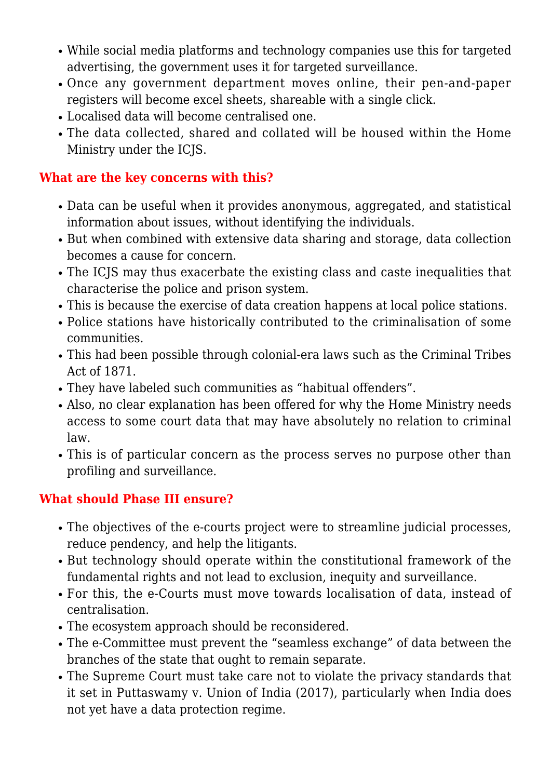- While social media platforms and technology companies use this for targeted advertising, the government uses it for targeted surveillance.
- Once any government department moves online, their pen-and-paper registers will become excel sheets, shareable with a single click.
- Localised data will become centralised one.
- The data collected, shared and collated will be housed within the Home Ministry under the ICJS.

### **What are the key concerns with this?**

- Data can be useful when it provides anonymous, aggregated, and statistical information about issues, without identifying the individuals.
- But when combined with extensive data sharing and storage, data collection becomes a cause for concern.
- The ICJS may thus exacerbate the existing class and caste inequalities that characterise the police and prison system.
- This is because the exercise of data creation happens at local police stations.
- Police stations have historically contributed to the criminalisation of some communities.
- This had been possible through colonial-era laws such as the Criminal Tribes Act of 1871.
- They have labeled such communities as "habitual offenders".
- Also, no clear explanation has been offered for why the Home Ministry needs access to some court data that may have absolutely no relation to criminal law.
- This is of particular concern as the process serves no purpose other than profiling and surveillance.

## **What should Phase III ensure?**

- The objectives of the e-courts project were to streamline judicial processes, reduce pendency, and help the litigants.
- But technology should operate within the constitutional framework of the fundamental rights and not lead to exclusion, inequity and surveillance.
- For this, the e-Courts must move towards localisation of data, instead of centralisation.
- The ecosystem approach should be reconsidered.
- The e-Committee must prevent the "seamless exchange" of data between the branches of the state that ought to remain separate.
- The Supreme Court must take care not to violate the privacy standards that it set in Puttaswamy v. Union of India (2017), particularly when India does not yet have a data protection regime.